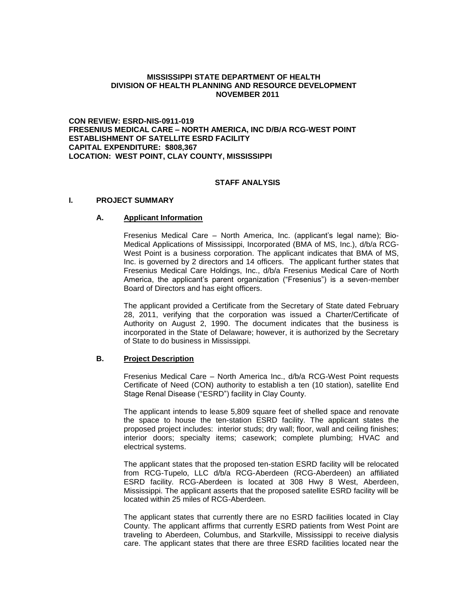### **MISSISSIPPI STATE DEPARTMENT OF HEALTH DIVISION OF HEALTH PLANNING AND RESOURCE DEVELOPMENT NOVEMBER 2011**

**CON REVIEW: ESRD-NIS-0911-019 FRESENIUS MEDICAL CARE – NORTH AMERICA, INC D/B/A RCG-WEST POINT ESTABLISHMENT OF SATELLITE ESRD FACILITY CAPITAL EXPENDITURE: \$808,367 LOCATION: WEST POINT, CLAY COUNTY, MISSISSIPPI**

# **STAFF ANALYSIS**

#### **I. PROJECT SUMMARY**

#### **A. Applicant Information**

Fresenius Medical Care – North America, Inc. (applicant's legal name); Bio-Medical Applications of Mississippi, Incorporated (BMA of MS, Inc.), d/b/a RCG-West Point is a business corporation. The applicant indicates that BMA of MS, Inc. is governed by 2 directors and 14 officers. The applicant further states that Fresenius Medical Care Holdings, Inc., d/b/a Fresenius Medical Care of North America, the applicant's parent organization ("Fresenius") is a seven-member Board of Directors and has eight officers.

The applicant provided a Certificate from the Secretary of State dated February 28, 2011, verifying that the corporation was issued a Charter/Certificate of Authority on August 2, 1990. The document indicates that the business is incorporated in the State of Delaware; however, it is authorized by the Secretary of State to do business in Mississippi.

## **B. Project Description**

Fresenius Medical Care – North America Inc., d/b/a RCG-West Point requests Certificate of Need (CON) authority to establish a ten (10 station), satellite End Stage Renal Disease ("ESRD") facility in Clay County.

The applicant intends to lease 5,809 square feet of shelled space and renovate the space to house the ten-station ESRD facility. The applicant states the proposed project includes: interior studs; dry wall; floor, wall and ceiling finishes; interior doors; specialty items; casework; complete plumbing; HVAC and electrical systems.

The applicant states that the proposed ten-station ESRD facility will be relocated from RCG-Tupelo, LLC d/b/a RCG-Aberdeen (RCG-Aberdeen) an affiliated ESRD facility. RCG-Aberdeen is located at 308 Hwy 8 West, Aberdeen, Mississippi. The applicant asserts that the proposed satellite ESRD facility will be located within 25 miles of RCG-Aberdeen.

The applicant states that currently there are no ESRD facilities located in Clay County. The applicant affirms that currently ESRD patients from West Point are traveling to Aberdeen, Columbus, and Starkville, Mississippi to receive dialysis care. The applicant states that there are three ESRD facilities located near the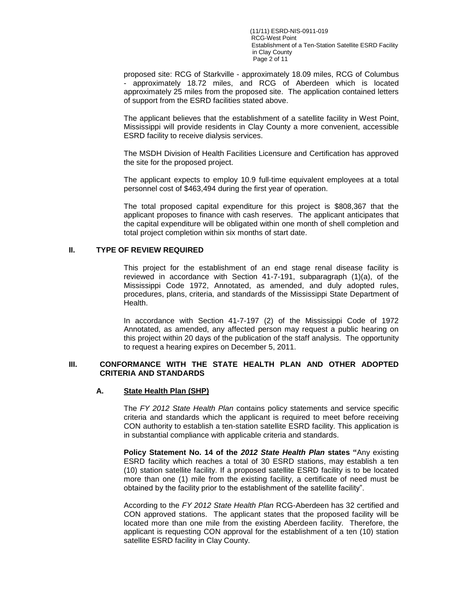(11/11) ESRD-NIS-0911-019 RCG-West Point Establishment of a Ten-Station Satellite ESRD Facility in Clay County Page 2 of 11

proposed site: RCG of Starkville - approximately 18.09 miles, RCG of Columbus - approximately 18.72 miles, and RCG of Aberdeen which is located approximately 25 miles from the proposed site. The application contained letters of support from the ESRD facilities stated above.

The applicant believes that the establishment of a satellite facility in West Point, Mississippi will provide residents in Clay County a more convenient, accessible ESRD facility to receive dialysis services.

The MSDH Division of Health Facilities Licensure and Certification has approved the site for the proposed project.

The applicant expects to employ 10.9 full-time equivalent employees at a total personnel cost of \$463,494 during the first year of operation.

The total proposed capital expenditure for this project is \$808,367 that the applicant proposes to finance with cash reserves. The applicant anticipates that the capital expenditure will be obligated within one month of shell completion and total project completion within six months of start date.

### **II. TYPE OF REVIEW REQUIRED**

This project for the establishment of an end stage renal disease facility is reviewed in accordance with Section 41-7-191, subparagraph (1)(a), of the Mississippi Code 1972, Annotated, as amended, and duly adopted rules, procedures, plans, criteria, and standards of the Mississippi State Department of Health.

In accordance with Section 41-7-197 (2) of the Mississippi Code of 1972 Annotated, as amended, any affected person may request a public hearing on this project within 20 days of the publication of the staff analysis. The opportunity to request a hearing expires on December 5, 2011.

### **III. CONFORMANCE WITH THE STATE HEALTH PLAN AND OTHER ADOPTED CRITERIA AND STANDARDS**

# **A. State Health Plan (SHP)**

The *FY 2012 State Health Plan* contains policy statements and service specific criteria and standards which the applicant is required to meet before receiving CON authority to establish a ten-station satellite ESRD facility. This application is in substantial compliance with applicable criteria and standards.

**Policy Statement No. 14 of the** *2012 State Health Plan* **states "**Any existing ESRD facility which reaches a total of 30 ESRD stations, may establish a ten (10) station satellite facility. If a proposed satellite ESRD facility is to be located more than one (1) mile from the existing facility, a certificate of need must be obtained by the facility prior to the establishment of the satellite facility".

According to the *FY 2012 State Health Plan* RCG-Aberdeen has 32 certified and CON approved stations. The applicant states that the proposed facility will be located more than one mile from the existing Aberdeen facility. Therefore, the applicant is requesting CON approval for the establishment of a ten (10) station satellite ESRD facility in Clay County.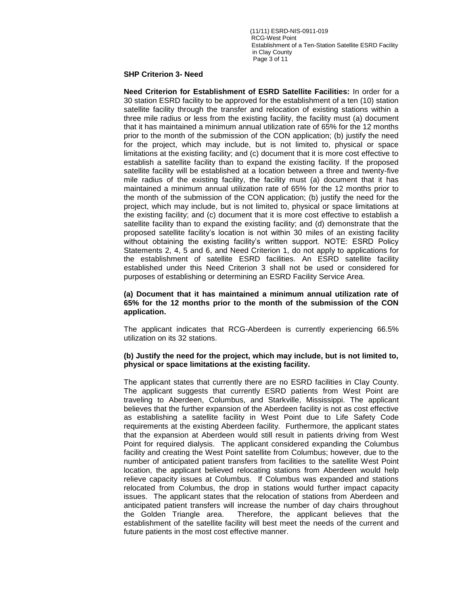(11/11) ESRD-NIS-0911-019 RCG-West Point Establishment of a Ten-Station Satellite ESRD Facility in Clay County Page 3 of 11

#### **SHP Criterion 3- Need**

**Need Criterion for Establishment of ESRD Satellite Facilities:** In order for a 30 station ESRD facility to be approved for the establishment of a ten (10) station satellite facility through the transfer and relocation of existing stations within a three mile radius or less from the existing facility, the facility must (a) document that it has maintained a minimum annual utilization rate of 65% for the 12 months prior to the month of the submission of the CON application; (b) justify the need for the project, which may include, but is not limited to, physical or space limitations at the existing facility; and (c) document that it is more cost effective to establish a satellite facility than to expand the existing facility. If the proposed satellite facility will be established at a location between a three and twenty-five mile radius of the existing facility, the facility must (a) document that it has maintained a minimum annual utilization rate of 65% for the 12 months prior to the month of the submission of the CON application; (b) justify the need for the project, which may include, but is not limited to, physical or space limitations at the existing facility; and (c) document that it is more cost effective to establish a satellite facility than to expand the existing facility; and (d) demonstrate that the proposed satellite facility's location is not within 30 miles of an existing facility without obtaining the existing facility's written support. NOTE: ESRD Policy Statements 2, 4, 5 and 6, and Need Criterion 1, do not apply to applications for the establishment of satellite ESRD facilities. An ESRD satellite facility established under this Need Criterion 3 shall not be used or considered for purposes of establishing or determining an ESRD Facility Service Area.

## **(a) Document that it has maintained a minimum annual utilization rate of 65% for the 12 months prior to the month of the submission of the CON application.**

The applicant indicates that RCG-Aberdeen is currently experiencing 66.5% utilization on its 32 stations.

#### **(b) Justify the need for the project, which may include, but is not limited to, physical or space limitations at the existing facility.**

The applicant states that currently there are no ESRD facilities in Clay County. The applicant suggests that currently ESRD patients from West Point are traveling to Aberdeen, Columbus, and Starkville, Mississippi. The applicant believes that the further expansion of the Aberdeen facility is not as cost effective as establishing a satellite facility in West Point due to Life Safety Code requirements at the existing Aberdeen facility. Furthermore, the applicant states that the expansion at Aberdeen would still result in patients driving from West Point for required dialysis. The applicant considered expanding the Columbus facility and creating the West Point satellite from Columbus; however, due to the number of anticipated patient transfers from facilities to the satellite West Point location, the applicant believed relocating stations from Aberdeen would help relieve capacity issues at Columbus. If Columbus was expanded and stations relocated from Columbus, the drop in stations would further impact capacity issues. The applicant states that the relocation of stations from Aberdeen and anticipated patient transfers will increase the number of day chairs throughout the Golden Triangle area. Therefore, the applicant believes that the establishment of the satellite facility will best meet the needs of the current and future patients in the most cost effective manner.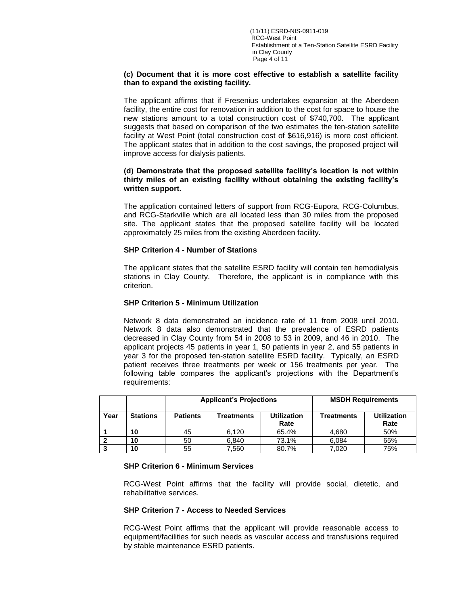### **(c) Document that it is more cost effective to establish a satellite facility than to expand the existing facility.**

The applicant affirms that if Fresenius undertakes expansion at the Aberdeen facility, the entire cost for renovation in addition to the cost for space to house the new stations amount to a total construction cost of \$740,700. The applicant suggests that based on comparison of the two estimates the ten-station satellite facility at West Point (total construction cost of \$616,916) is more cost efficient. The applicant states that in addition to the cost savings, the proposed project will improve access for dialysis patients.

## **(d) Demonstrate that the proposed satellite facility's location is not within thirty miles of an existing facility without obtaining the existing facility's written support.**

The application contained letters of support from RCG-Eupora, RCG-Columbus, and RCG-Starkville which are all located less than 30 miles from the proposed site. The applicant states that the proposed satellite facility will be located approximately 25 miles from the existing Aberdeen facility.

# **SHP Criterion 4 - Number of Stations**

The applicant states that the satellite ESRD facility will contain ten hemodialysis stations in Clay County. Therefore, the applicant is in compliance with this criterion.

# **SHP Criterion 5 - Minimum Utilization**

Network 8 data demonstrated an incidence rate of 11 from 2008 until 2010. Network 8 data also demonstrated that the prevalence of ESRD patients decreased in Clay County from 54 in 2008 to 53 in 2009, and 46 in 2010. The applicant projects 45 patients in year 1, 50 patients in year 2, and 55 patients in year 3 for the proposed ten-station satellite ESRD facility. Typically, an ESRD patient receives three treatments per week or 156 treatments per year. The following table compares the applicant's projections with the Department's requirements:

|      |                 | <b>Applicant's Projections</b> |            |                            | <b>MSDH Requirements</b> |                            |
|------|-----------------|--------------------------------|------------|----------------------------|--------------------------|----------------------------|
| Year | <b>Stations</b> | <b>Patients</b>                | Treatments | <b>Utilization</b><br>Rate | <b>Treatments</b>        | <b>Utilization</b><br>Rate |
|      | 10              | 45                             | 6.120      | 65.4%                      | 4.680                    | 50%                        |
|      | 10              | 50                             | 6.840      | 73.1%                      | 6.084                    | 65%                        |
|      | 10              | 55                             | 7,560      | 80.7%                      | 7.020                    | 75%                        |

## **SHP Criterion 6 - Minimum Services**

RCG-West Point affirms that the facility will provide social, dietetic, and rehabilitative services.

## **SHP Criterion 7 - Access to Needed Services**

RCG-West Point affirms that the applicant will provide reasonable access to equipment/facilities for such needs as vascular access and transfusions required by stable maintenance ESRD patients.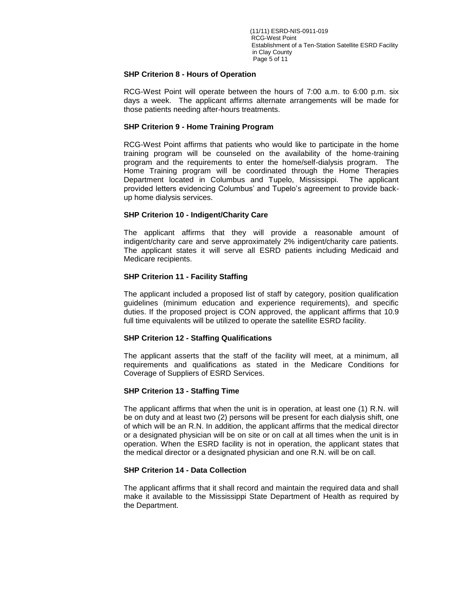(11/11) ESRD-NIS-0911-019 RCG-West Point Establishment of a Ten-Station Satellite ESRD Facility in Clay County Page 5 of 11

### **SHP Criterion 8 - Hours of Operation**

RCG-West Point will operate between the hours of 7:00 a.m. to 6:00 p.m. six days a week. The applicant affirms alternate arrangements will be made for those patients needing after-hours treatments.

### **SHP Criterion 9 - Home Training Program**

RCG-West Point affirms that patients who would like to participate in the home training program will be counseled on the availability of the home-training program and the requirements to enter the home/self-dialysis program. The Home Training program will be coordinated through the Home Therapies Department located in Columbus and Tupelo, Mississippi. The applicant provided letters evidencing Columbus' and Tupelo's agreement to provide backup home dialysis services.

## **SHP Criterion 10 - Indigent/Charity Care**

The applicant affirms that they will provide a reasonable amount of indigent/charity care and serve approximately 2% indigent/charity care patients. The applicant states it will serve all ESRD patients including Medicaid and Medicare recipients.

### **SHP Criterion 11 - Facility Staffing**

The applicant included a proposed list of staff by category, position qualification guidelines (minimum education and experience requirements), and specific duties. If the proposed project is CON approved, the applicant affirms that 10.9 full time equivalents will be utilized to operate the satellite ESRD facility.

#### **SHP Criterion 12 - Staffing Qualifications**

The applicant asserts that the staff of the facility will meet, at a minimum, all requirements and qualifications as stated in the Medicare Conditions for Coverage of Suppliers of ESRD Services.

## **SHP Criterion 13 - Staffing Time**

The applicant affirms that when the unit is in operation, at least one (1) R.N. will be on duty and at least two (2) persons will be present for each dialysis shift, one of which will be an R.N. In addition, the applicant affirms that the medical director or a designated physician will be on site or on call at all times when the unit is in operation. When the ESRD facility is not in operation, the applicant states that the medical director or a designated physician and one R.N. will be on call.

#### **SHP Criterion 14 - Data Collection**

The applicant affirms that it shall record and maintain the required data and shall make it available to the Mississippi State Department of Health as required by the Department.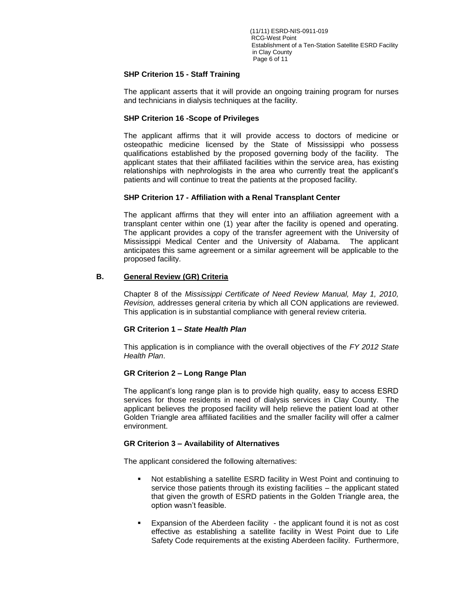(11/11) ESRD-NIS-0911-019 RCG-West Point Establishment of a Ten-Station Satellite ESRD Facility in Clay County Page 6 of 11

## **SHP Criterion 15 - Staff Training**

The applicant asserts that it will provide an ongoing training program for nurses and technicians in dialysis techniques at the facility.

## **SHP Criterion 16 -Scope of Privileges**

The applicant affirms that it will provide access to doctors of medicine or osteopathic medicine licensed by the State of Mississippi who possess qualifications established by the proposed governing body of the facility. The applicant states that their affiliated facilities within the service area, has existing relationships with nephrologists in the area who currently treat the applicant's patients and will continue to treat the patients at the proposed facility.

### **SHP Criterion 17 - Affiliation with a Renal Transplant Center**

The applicant affirms that they will enter into an affiliation agreement with a transplant center within one (1) year after the facility is opened and operating. The applicant provides a copy of the transfer agreement with the University of Mississippi Medical Center and the University of Alabama. The applicant anticipates this same agreement or a similar agreement will be applicable to the proposed facility.

### **B. General Review (GR) Criteria**

Chapter 8 of the *Mississippi Certificate of Need Review Manual, May 1, 2010, Revision,* addresses general criteria by which all CON applications are reviewed. This application is in substantial compliance with general review criteria.

#### **GR Criterion 1 –** *State Health Plan*

This application is in compliance with the overall objectives of the *FY 2012 State Health Plan*.

## **GR Criterion 2 – Long Range Plan**

The applicant's long range plan is to provide high quality, easy to access ESRD services for those residents in need of dialysis services in Clay County. The applicant believes the proposed facility will help relieve the patient load at other Golden Triangle area affiliated facilities and the smaller facility will offer a calmer environment.

#### **GR Criterion 3 – Availability of Alternatives**

The applicant considered the following alternatives:

- Not establishing a satellite ESRD facility in West Point and continuing to service those patients through its existing facilities – the applicant stated that given the growth of ESRD patients in the Golden Triangle area, the option wasn't feasible.
- Expansion of the Aberdeen facility the applicant found it is not as cost effective as establishing a satellite facility in West Point due to Life Safety Code requirements at the existing Aberdeen facility. Furthermore,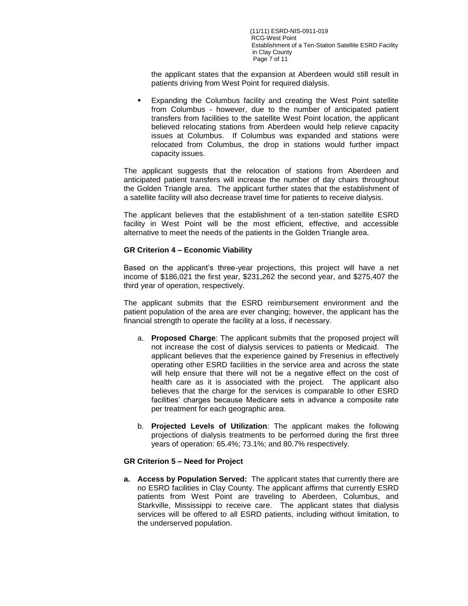(11/11) ESRD-NIS-0911-019 RCG-West Point Establishment of a Ten-Station Satellite ESRD Facility in Clay County Page 7 of 11

the applicant states that the expansion at Aberdeen would still result in patients driving from West Point for required dialysis.

 Expanding the Columbus facility and creating the West Point satellite from Columbus - however, due to the number of anticipated patient transfers from facilities to the satellite West Point location, the applicant believed relocating stations from Aberdeen would help relieve capacity issues at Columbus. If Columbus was expanded and stations were relocated from Columbus, the drop in stations would further impact capacity issues.

The applicant suggests that the relocation of stations from Aberdeen and anticipated patient transfers will increase the number of day chairs throughout the Golden Triangle area. The applicant further states that the establishment of a satellite facility will also decrease travel time for patients to receive dialysis.

The applicant believes that the establishment of a ten-station satellite ESRD facility in West Point will be the most efficient, effective, and accessible alternative to meet the needs of the patients in the Golden Triangle area.

## **GR Criterion 4 – Economic Viability**

Based on the applicant's three-year projections, this project will have a net income of \$186,021 the first year, \$231,262 the second year, and \$275,407 the third year of operation, respectively.

The applicant submits that the ESRD reimbursement environment and the patient population of the area are ever changing; however, the applicant has the financial strength to operate the facility at a loss, if necessary.

- a. **Proposed Charge**: The applicant submits that the proposed project will not increase the cost of dialysis services to patients or Medicaid. The applicant believes that the experience gained by Fresenius in effectively operating other ESRD facilities in the service area and across the state will help ensure that there will not be a negative effect on the cost of health care as it is associated with the project. The applicant also believes that the charge for the services is comparable to other ESRD facilities' charges because Medicare sets in advance a composite rate per treatment for each geographic area.
- b. **Projected Levels of Utilization**: The applicant makes the following projections of dialysis treatments to be performed during the first three years of operation: 65.4%; 73.1%; and 80.7% respectively.

#### **GR Criterion 5 – Need for Project**

**a. Access by Population Served:** The applicant states that currently there are no ESRD facilities in Clay County. The applicant affirms that currently ESRD patients from West Point are traveling to Aberdeen, Columbus, and Starkville, Mississippi to receive care. The applicant states that dialysis services will be offered to all ESRD patients, including without limitation, to the underserved population.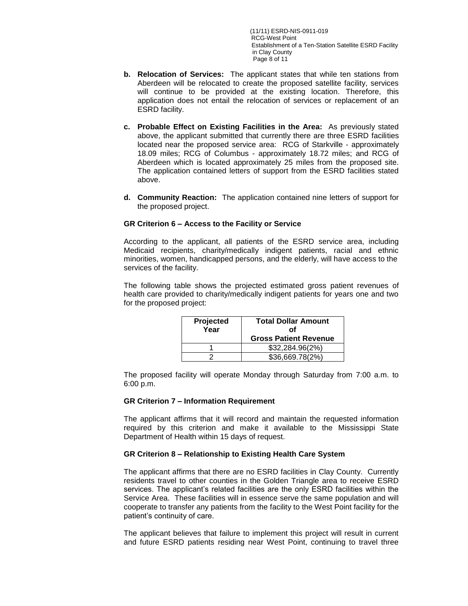(11/11) ESRD-NIS-0911-019 RCG-West Point Establishment of a Ten-Station Satellite ESRD Facility in Clay County Page 8 of 11

- **b. Relocation of Services:** The applicant states that while ten stations from Aberdeen will be relocated to create the proposed satellite facility, services will continue to be provided at the existing location. Therefore, this application does not entail the relocation of services or replacement of an ESRD facility.
- **c. Probable Effect on Existing Facilities in the Area:** As previously stated above, the applicant submitted that currently there are three ESRD facilities located near the proposed service area: RCG of Starkville - approximately 18.09 miles; RCG of Columbus - approximately 18.72 miles; and RCG of Aberdeen which is located approximately 25 miles from the proposed site. The application contained letters of support from the ESRD facilities stated above.
- **d. Community Reaction:** The application contained nine letters of support for the proposed project.

## **GR Criterion 6 – Access to the Facility or Service**

According to the applicant, all patients of the ESRD service area, including Medicaid recipients, charity/medically indigent patients, racial and ethnic minorities, women, handicapped persons, and the elderly, will have access to the services of the facility.

The following table shows the projected estimated gross patient revenues of health care provided to charity/medically indigent patients for years one and two for the proposed project:

| Projected<br>Year | <b>Total Dollar Amount</b><br>Ωf<br><b>Gross Patient Revenue</b> |  |
|-------------------|------------------------------------------------------------------|--|
|                   | \$32,284.96(2%)                                                  |  |
|                   | \$36,669.78(2%)                                                  |  |

The proposed facility will operate Monday through Saturday from 7:00 a.m. to 6:00 p.m.

#### **GR Criterion 7 – Information Requirement**

The applicant affirms that it will record and maintain the requested information required by this criterion and make it available to the Mississippi State Department of Health within 15 days of request.

## **GR Criterion 8 – Relationship to Existing Health Care System**

The applicant affirms that there are no ESRD facilities in Clay County. Currently residents travel to other counties in the Golden Triangle area to receive ESRD services. The applicant's related facilities are the only ESRD facilities within the Service Area. These facilities will in essence serve the same population and will cooperate to transfer any patients from the facility to the West Point facility for the patient's continuity of care.

The applicant believes that failure to implement this project will result in current and future ESRD patients residing near West Point, continuing to travel three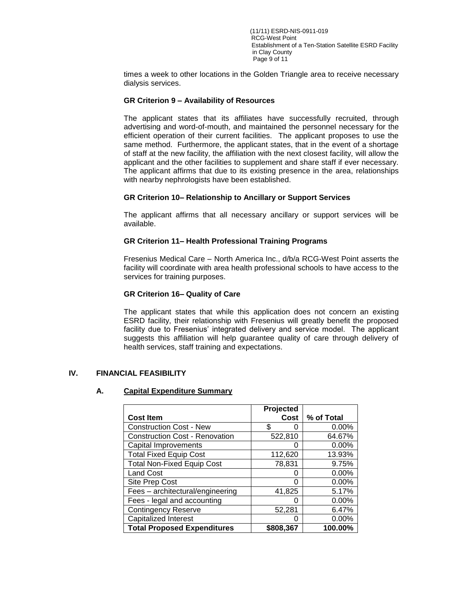(11/11) ESRD-NIS-0911-019 RCG-West Point Establishment of a Ten-Station Satellite ESRD Facility in Clay County Page 9 of 11

times a week to other locations in the Golden Triangle area to receive necessary dialysis services.

## **GR Criterion 9 – Availability of Resources**

The applicant states that its affiliates have successfully recruited, through advertising and word-of-mouth, and maintained the personnel necessary for the efficient operation of their current facilities. The applicant proposes to use the same method. Furthermore, the applicant states, that in the event of a shortage of staff at the new facility, the affiliation with the next closest facility, will allow the applicant and the other facilities to supplement and share staff if ever necessary. The applicant affirms that due to its existing presence in the area, relationships with nearby nephrologists have been established.

### **GR Criterion 10– Relationship to Ancillary or Support Services**

The applicant affirms that all necessary ancillary or support services will be available.

### **GR Criterion 11– Health Professional Training Programs**

Fresenius Medical Care – North America Inc., d/b/a RCG-West Point asserts the facility will coordinate with area health professional schools to have access to the services for training purposes.

### **GR Criterion 16– Quality of Care**

The applicant states that while this application does not concern an existing ESRD facility, their relationship with Fresenius will greatly benefit the proposed facility due to Fresenius' integrated delivery and service model. The applicant suggests this affiliation will help guarantee quality of care through delivery of health services, staff training and expectations.

## **IV. FINANCIAL FEASIBILITY**

### **A. Capital Expenditure Summary**

|                                       | Projected |            |
|---------------------------------------|-----------|------------|
| <b>Cost Item</b>                      | Cost      | % of Total |
| <b>Construction Cost - New</b>        | \$        | 0.00%      |
| <b>Construction Cost - Renovation</b> | 522,810   | 64.67%     |
| Capital Improvements                  |           | 0.00%      |
| <b>Total Fixed Equip Cost</b>         | 112,620   | 13.93%     |
| <b>Total Non-Fixed Equip Cost</b>     | 78,831    | 9.75%      |
| <b>Land Cost</b>                      |           | 0.00%      |
| Site Prep Cost                        | O         | 0.00%      |
| Fees - architectural/engineering      | 41,825    | 5.17%      |
| Fees - legal and accounting           | O         | 0.00%      |
| <b>Contingency Reserve</b>            | 52.281    | 6.47%      |
| <b>Capitalized Interest</b>           |           | 0.00%      |
| <b>Total Proposed Expenditures</b>    | \$808,367 | 100.00%    |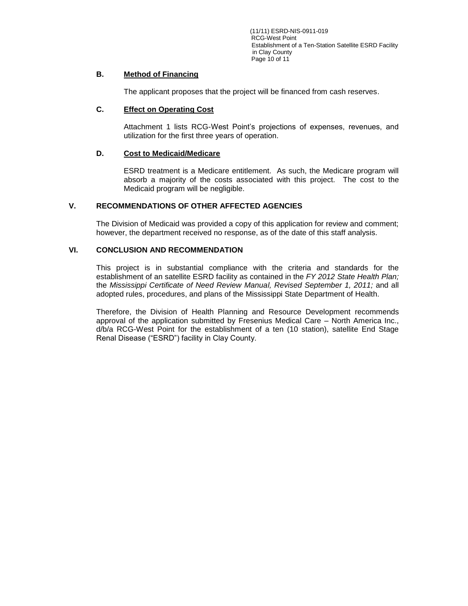(11/11) ESRD-NIS-0911-019 RCG-West Point Establishment of a Ten-Station Satellite ESRD Facility in Clay County Page 10 of 11

# **B. Method of Financing**

The applicant proposes that the project will be financed from cash reserves.

# **C. Effect on Operating Cost**

Attachment 1 lists RCG-West Point's projections of expenses, revenues, and utilization for the first three years of operation.

# **D. Cost to Medicaid/Medicare**

ESRD treatment is a Medicare entitlement. As such, the Medicare program will absorb a majority of the costs associated with this project. The cost to the Medicaid program will be negligible.

# **V. RECOMMENDATIONS OF OTHER AFFECTED AGENCIES**

The Division of Medicaid was provided a copy of this application for review and comment; however, the department received no response, as of the date of this staff analysis.

# **VI. CONCLUSION AND RECOMMENDATION**

This project is in substantial compliance with the criteria and standards for the establishment of an satellite ESRD facility as contained in the *FY 2012 State Health Plan;*  the *Mississippi Certificate of Need Review Manual, Revised September 1, 2011;* and all adopted rules, procedures, and plans of the Mississippi State Department of Health.

Therefore, the Division of Health Planning and Resource Development recommends approval of the application submitted by Fresenius Medical Care – North America Inc., d/b/a RCG-West Point for the establishment of a ten (10 station), satellite End Stage Renal Disease ("ESRD") facility in Clay County.